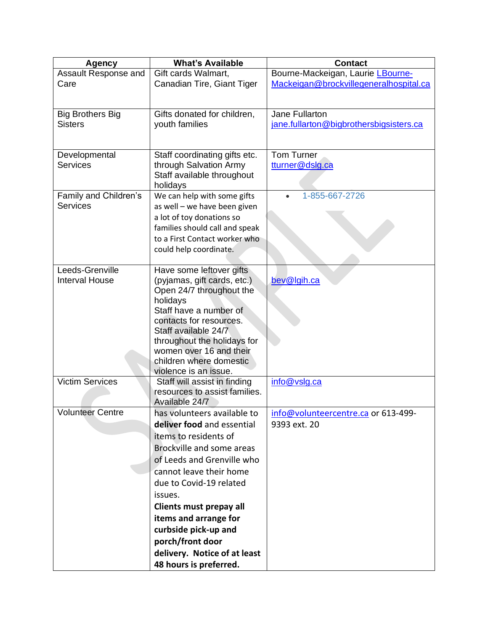| <b>Agency</b>           | <b>What's Available</b>            | <b>Contact</b>                          |
|-------------------------|------------------------------------|-----------------------------------------|
| Assault Response and    | Gift cards Walmart,                | Bourne-Mackeigan, Laurie LBourne-       |
| Care                    | Canadian Tire, Giant Tiger         | Mackeigan@brockvillegeneralhospital.ca  |
|                         |                                    |                                         |
|                         |                                    |                                         |
| <b>Big Brothers Big</b> | Gifts donated for children,        | Jane Fullarton                          |
| <b>Sisters</b>          | youth families                     | jane.fullarton@bigbrothersbigsisters.ca |
|                         |                                    |                                         |
| Developmental           | Staff coordinating gifts etc.      | <b>Tom Turner</b>                       |
| <b>Services</b>         | through Salvation Army             | tturner@dslg.ca                         |
|                         | Staff available throughout         |                                         |
|                         | holidays                           |                                         |
| Family and Children's   | We can help with some gifts        | 1-855-667-2726                          |
| <b>Services</b>         | as well - we have been given       |                                         |
|                         | a lot of toy donations so          |                                         |
|                         | families should call and speak     |                                         |
|                         | to a First Contact worker who      |                                         |
|                         | could help coordinate.             |                                         |
|                         |                                    |                                         |
| Leeds-Grenville         | Have some leftover gifts           |                                         |
| <b>Interval House</b>   | (pyjamas, gift cards, etc.)        | bev@lgih.ca                             |
|                         | Open 24/7 throughout the           |                                         |
|                         | holidays<br>Staff have a number of |                                         |
|                         | contacts for resources.            |                                         |
|                         | Staff available 24/7               |                                         |
|                         | throughout the holidays for        |                                         |
|                         | women over 16 and their            |                                         |
|                         | children where domestic            |                                         |
|                         | violence is an issue.              |                                         |
| <b>Victim Services</b>  | Staff will assist in finding       | info@vslg.ca                            |
|                         | resources to assist families.      |                                         |
|                         | Available 24/7                     |                                         |
| <b>Volunteer Centre</b> | has volunteers available to        | info@volunteercentre.ca or 613-499-     |
|                         | deliver food and essential         | 9393 ext. 20                            |
|                         | items to residents of              |                                         |
|                         | Brockville and some areas          |                                         |
|                         | of Leeds and Grenville who         |                                         |
|                         | cannot leave their home            |                                         |
|                         | due to Covid-19 related            |                                         |
|                         | issues.                            |                                         |
|                         | Clients must prepay all            |                                         |
|                         | items and arrange for              |                                         |
|                         | curbside pick-up and               |                                         |
|                         | porch/front door                   |                                         |
|                         | delivery. Notice of at least       |                                         |
|                         | 48 hours is preferred.             |                                         |